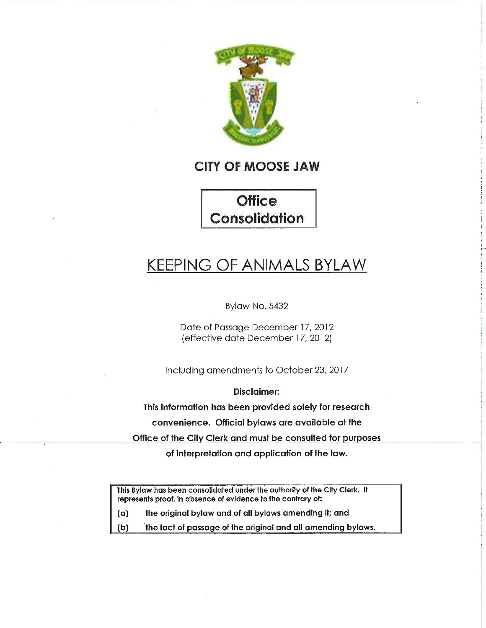

## CITY OF MOOSE JAW

**Office** Consolidation

# KEEPING OF ANIMALS BYLAW

Bylaw No. 5432

Date of Passage December 17, 2012 (effective date December 17, 2012]

Including amendments to October 23, 2017

Disclaimer:

This information has been provided solely for research convenience. Official bylaws are available at the Office of the City Clerk and must be consulted for purposes

of interpretation and application of the law.

This Bylaw has been consolidated under the authority of the City Clerk. It represents proof, in absence of evidence to the contrary of:

(a) the original bylaw and of all bylaws amending it; and

(b) the fact of passage of the original and all amending bylaws.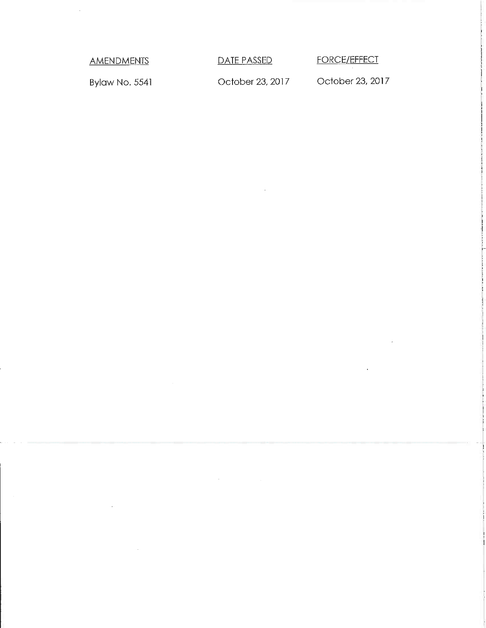$\mathcal{L}$ 

AMENDMENTS DATE PASSED FORCE/EFFECT

Bylaw No. 5541 **October 23, 2017** October 23, 2017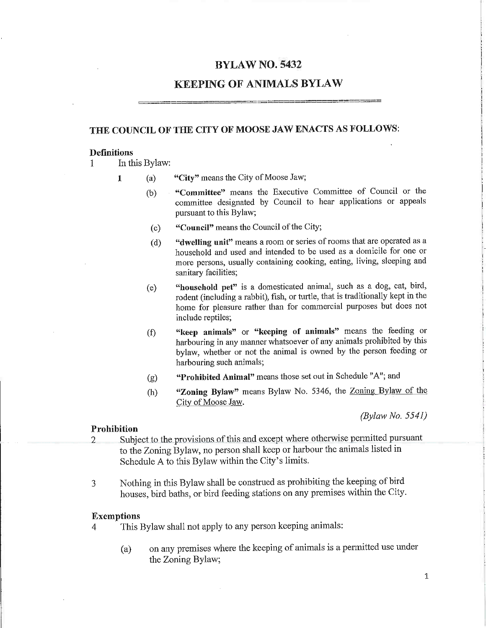### BYLAW NO. 5432

## KEEPING OF ANIMALS BYLAW

## THE COUNCIL OF THE CITY OF MOOSE JAW ENACTS AS FOLLOWS:

#### **Definitions**

1 In this Bylaw:

- 1 (a) "City" means the City of Moose Jaw;
	- (b) "Committee" means the Executive Committee of Council or the committee designated by Council to hear applications or appeals pursuant to this Bylaw;
	- (c) "Council" means the Council of the City;
	- (d) "dwelling unit means a room or series of rooms that are operated as a household and used and intended to be used as a domicile for one or more persons, usually containing cooking, eating, living, sleeping and sanitary facilities;
	- (e) "household pet" is a domesticated animal, such as a dog, cat, bird, rodent (including a rabbit), fish, or turtle, that is traditionally kept in the home for pleasure rather than for commercial purposes but does not include reptiles;
	- $f(x)$  "keep animals" or  $\kappa$ eeping of animals" means the feeding or harbouring in any manner whatsoever of any animals prohibited by this bylaw, whether or not the animal is owned by the person feeding or harbouring such animals;
	- (g) "Prohibited Animal" means those set out in Schedule "A"; and
	- (h) "Zoning Bylaw" means Bylaw No. 5346, the Zoning Bylaw of the City of Moose Jaw.

(Bylaw No. 5541)

#### Prohibition

- 2 Subject to the provisions of this and except where otherwise permitted pursuant to the Zoning Bylaw, no person shall keep or harbour the animals listed in Schedule A to this Bylaw within the City's limits.
- 3 Nothing in this Bylaw shall be construed as prohibiting the keeping of bird houses, bird baths, or bird feeding stations on any premises within the City.

#### Exemptions

- 4 This Bylaw shall not apply to any person keeping animals:
	- (a) on any premises where the keeping of animals is a permitted use under the Zoning Bylaw;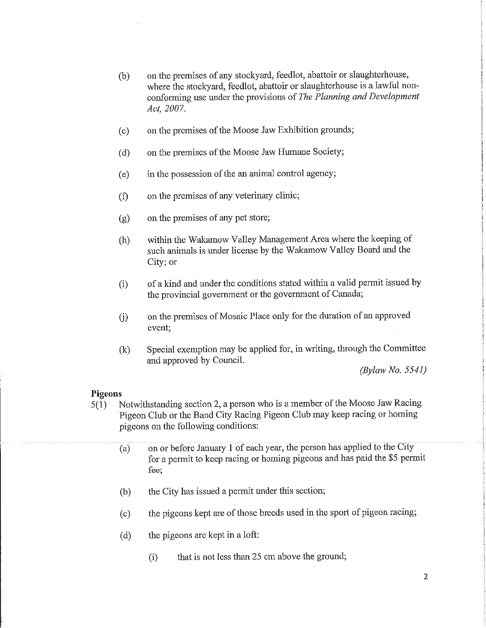- (b) on the premises of any stockyard, feedlot, abattoir or slaughterhouse, where the stockyard, feedlot, abattoir or slaughterhouse is a lawful nonconforming use under the provisions of The Planning and Development Act, 2007.
- (c) on the premises of the Moose Jaw Exhibition grounds;
- (d) on the premises of the Moose Jaw Humane Society;
- (e) in the possession of the an animal control agency;
- (f) on the premises of any veterinary clinic;
- (g) on the premises of any pet store;
- (h) within the Wakamow Valley Management Area where the keeping of such animals is under license by the Wakamow Valley Board and the City; or
- (i) of a kind and under the conditions stated within a valid permit issued by the provincial government or the government of Canada;
- (j) on the premises of Mosaic Place only for the duration of an approved event;
- (k) Special exemption may be applied for, in writing, through the Committee and approved by Council.

(Bylaw No. 5541)

#### Pigeons

- 5(1) Notwithstanding section 2, a person who is a member of the Moose Jaw Racing Pigeon Club or the Band City Racing Pigeon Club may keep racing or homing pigeons on the following conditions:
	- (a) on or before January 1 of each year, the person has applied to the City for a permit to keep racing or homing pigeons and has paid the \$5 permit fee;
	- (b) the City has issued a permit under this section;
	- (c) the pigeons kept are of those breeds used in the sport of pigeon racing;
	- (d) the pigeons are kept in a loft:
		- (i) that is not less than 25 cm above the ground;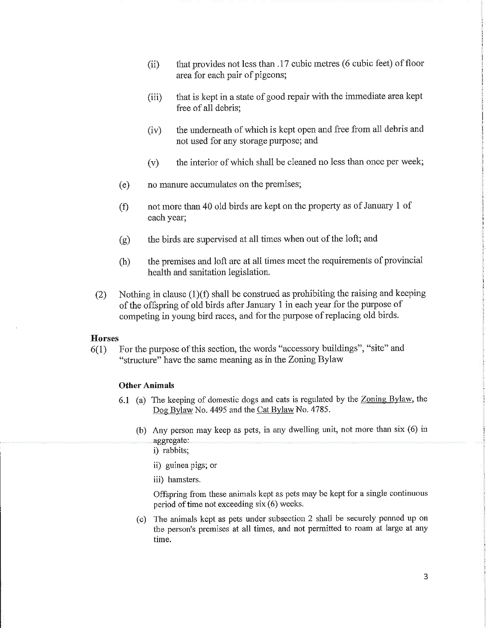- (ii) that provides not less than .17 cubic metres (6 cubic feet) of floor area for each pair of pigeons;
- (iii) that is kept in a state of good repair with the immediate area kept free of all debris;
- (iv) the underneath of which is kept open and free from all debris and not used for any storage purpose; and
- (v) the interior of which shall be cleaned no less than once per week;
- (e) no manure accumulates on the premises;
- (f) not more than 40 old birds are kept on the property as of January 1 of each year;
- (g) the birds are supervised at all times when out of the loft; and
- (h) the premises and loft are at all times meet the requirements of provincial health and sanitation legislation.
- (2) Nothing in clause  $(1)(f)$  shall be construed as prohibiting the raising and keeping of the offspring of old birds after January 1 in each year for the purpose of competing in young bird races, and for the purpose of replacing old birds.

#### **Horses**

 $6(1)$  For the purpose of this section, the words "accessory buildings", "site" and "structure" have the same meaning as in the Zoning Bylaw

#### Other Animals

- 6.1 (a) The keeping of domestic dogs and cats is regulated by the Zoning Bylaw, the Dog Bylaw No. 4495 and the Cat Bylaw No. 4785.
	- (b) Any person may keep as pets, in any dwelling unit, not more than six (6) in aggregate:

i) rabbits;

- ii) guinea pigs; or
- iii) hamsters.

Offspring from these animals kept as pets may be kept for a single continuous period of time not exceeding six (6) weeks.

(c) The animals kept as pets under subsection 2 shall be securely penned up on the person's premises at all times, and not permitted to roam at large at any time.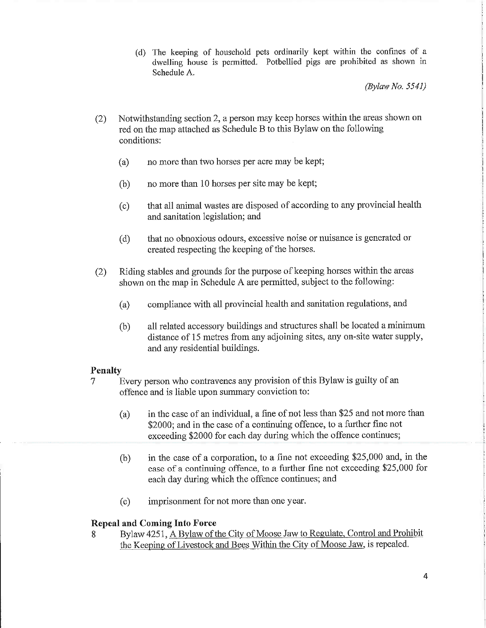(d) The keeping of household pets ordinarily kept within the confines of a dwelling house is permitted. Potbellied pigs are prohibited as shown in Schedule A.

(Bylaw No. 5541)

- (2) Notwithstanding section 2, a person may keep horses within the areas shown on red on the map attached as Schedule B to this Bylaw on the following conditions:
	- (a) no more than two horses per acre may be kept;
	- $(b)$  no more than 10 horses per site may be kept;
	- (c) that all animal wastes are disposed of according to any provincial health and sanitation legislation; and
	- (d) that no obnoxious odours, excessive noise or nuisance is generated or created respecting the keeping of the horses.
- (2) Riding stables and grounds for the purpose of keeping horses within the areas shown on the map in Schedule A are permitted, subject to the following:
	- (a) compliance with all provincial health and sanitation regulations, and
	- (b) all related accessory buildings and structures shall be located a minimum distance of 15 metres from any adjoining sites, any on-site water supply, and any residential buildings.

#### Penalty

- 7 Every person who contravenes any provision of this Bylaw is guilty of an offence and is liable upon summary conviction to;
	- (a) in the case of an individual, a fine of not less than \$25 and not more than \$2000; and in the case of a continuing offence, to a further fine not exceeding \$2000 for each day during which the offence continues;
	- (b) in the case of a corporation, to a fine not exceeding \$25,000 and, in the case of a continuing offence, to a further fine not exceeding \$25,000 for each day during which the offence continues; and
	- (c) imprisonment for not more than one year.

#### Repeal and Coming Into Force

8 Bylaw 4251, A Bylaw of the City of Moose Jaw to Regulate, Control and Prohibit the Keeping of Livestock and Bees Within the City of Moose Jaw, is repealed.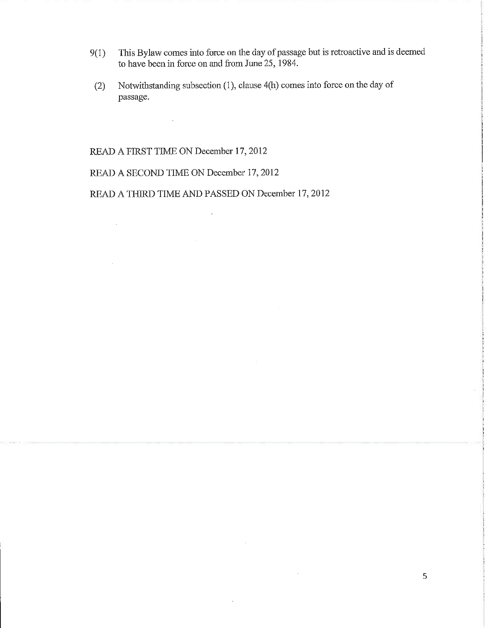- 9(1) This Bylaw comes into force on the day of passage but is retroactive and is deemed to have been in force on and from June 25, 1984.
- (2) Notwithstanding subsection (1), clause 4(h) comes into force on the day of passage.

 $\bar{z}$ 

 $\overline{\phantom{a}}$ 

READ A FIRST TIME ON December 17,2012

 $\bar{\lambda}$ 

 $\sim 10$ 

 $\mathcal{A}$ 

READ A SECOND TIME ON December 17,2012

READ A THIRD TIME AND PASSED ON December 17, 2012

 $\sim$   $\sim$ 

 $\mathbb{R}$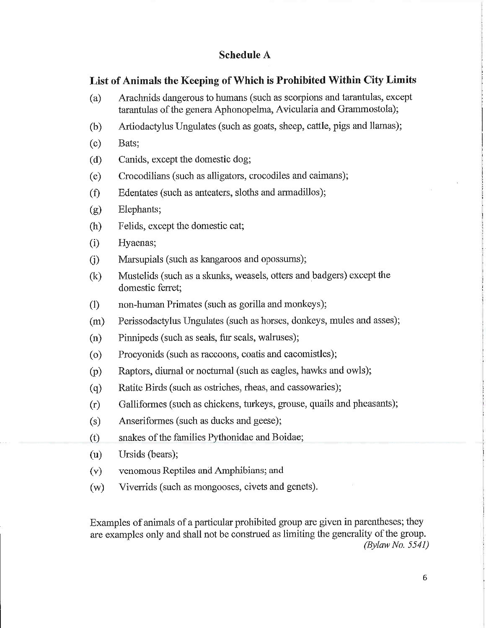## Schedule A

## List of Animals the Keeping of Which is Prohibited Within City Limits

- (a) Arachnids dangerous to humans (such as scorpions and tarantulas, except tarantulas of the genera Aphonopelma, Avicularia and Grammostola);
- (b) Artiodactylus Ungulates (such as goats, sheep, cattle, pigs and Hamas);
- (c) Bats;
- (d) Canids, except the domestic dog;
- (e) Crocodilians (such as alligators, crocodiles and caimans);
- (f) Edentates (such as anteaters, sloths and armadillos);
- (g) Elephants;
- (h) Felids, except the domestic cat;
- (i) Hyaenas;
- (j) Marsupials (such as kangaroos and opossums);
- (k) Mustelids (such as a skunks, weasels, otters and badgers) except the domestic ferret;
- (1) non-human Primates (such as gorilla and monkeys);
- (m) Perissodactylus Ungulates (such as horses, donkeys, mules and asses);
- (n) Pinnipeds (such as seals, fur seals, walruses);
- (o) Procyonids (such as raccoons, coatis and cacomistles);
- (p) Raptors, diurnal or noctumai (such as eagles, hawks and owls);
- (q) Ratite Birds (such as ostriches, rheas, and cassowaries);
- (r) Galliformes (such as chickens, turkeys, grouse, quails and pheasants);
- (s) Anseriformes (such as ducks and geese);
- (t) snakes of the families Pythonidae and Boidae;
- (u) Ursids (bears);
- (v) venomous Reptiles andAmphibians; and
- (w) Viverrids (such as mongooses, civets and genets).

Examples of animals of a particular prohibited group are given in parentheses; they are examples only and shall not be construed as limiting the generality of the group.  $(Bylaw No. 5541)$